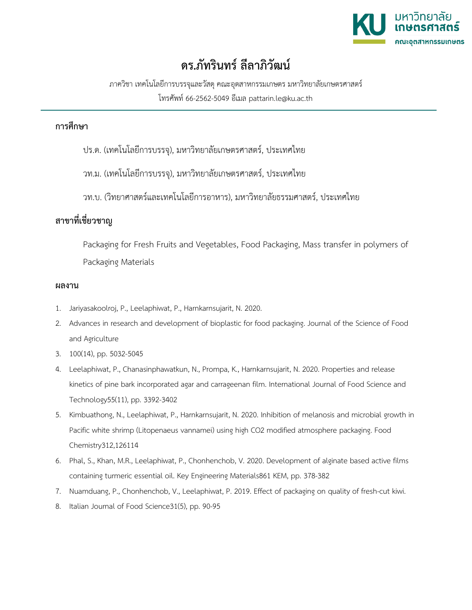

## **ดร.ภัทรินทร ลีลาภิวัฒน**

ภาควิชา เทคโนโลยีการบรรจุและวัสดุคณะอุตสาหกรรมเกษตร มหาวิทยาลัยเกษตรศาสตร โทรศัพท 66-2562-5049 อีเมล pattarin.le@ku.ac.th

## **การศึกษา**

- ปร.ด. (เทคโนโลยีการบรรจุ), มหาวิทยาลัยเกษตรศาสตร, ประเทศไทย
- วท.ม. (เทคโนโลยีการบรรจุ), มหาวิทยาลัยเกษตรศาสตร, ประเทศไทย
- วท.บ. (วิทยาศาสตรและเทคโนโลยีการอาหาร), มหาวิทยาลัยธรรมศาสตร, ประเทศไทย

## **สาขาที่เชี่ยวชาญ**

Packaging for Fresh Fruits and Vegetables, Food Packaging, Mass transfer in polymers of Packaging Materials

## **ผลงาน**

- 1. Jariyasakoolroj, P., Leelaphiwat, P., Harnkarnsujarit, N. 2020.
- 2. Advances in research and development of bioplastic for food packaging. Journal of the Science of Food and Agriculture
- 3. 100(14), pp. 5032-5045
- 4. Leelaphiwat, P., Chanasinphawatkun, N., Prompa, K., Harnkarnsujarit, N. 2020. Properties and release kinetics of pine bark incorporated agar and carrageenan film. International Journal of Food Science and Technology55(11), pp. 3392-3402
- 5. Kimbuathong, N., Leelaphiwat, P., Harnkarnsujarit, N. 2020. Inhibition of melanosis and microbial growth in Pacific white shrimp (Litopenaeus vannamei) using high CO2 modified atmosphere packaging. Food Chemistry312,126114
- 6. Phal, S., Khan, M.R., Leelaphiwat, P., Chonhenchob, V. 2020. Development of alginate based active films containing turmeric essential oil. Key Engineering Materials861 KEM, pp. 378-382
- 7. Nuamduang, P., Chonhenchob, V., Leelaphiwat, P. 2019. Effect of packaging on quality of fresh-cut kiwi.
- 8. Italian Journal of Food Science31(5), pp. 90-95